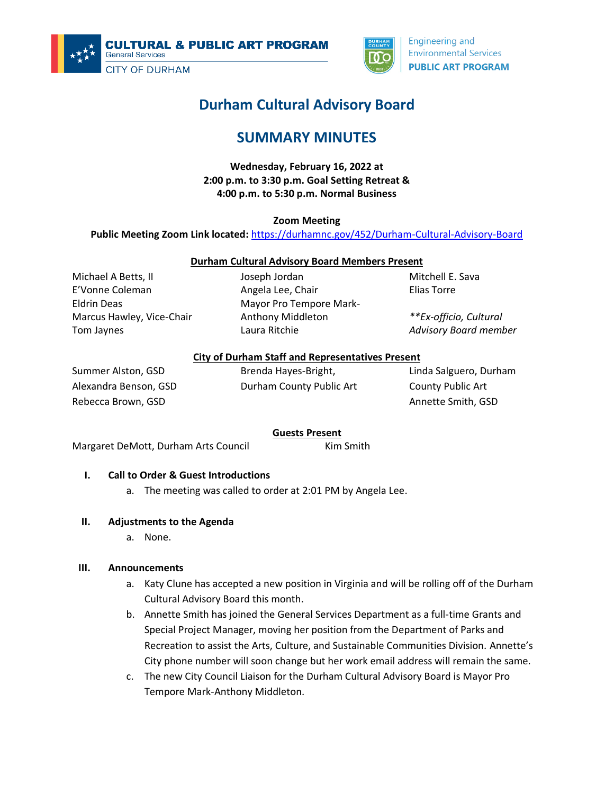



**Engineering and Environmental Services PUBLIC ART PROGRAM** 

# **Durham Cultural Advisory Board**

## **SUMMARY MINUTES**

**Wednesday, February 16, 2022 at 2:00 p.m. to 3:30 p.m. Goal Setting Retreat & 4:00 p.m. to 5:30 p.m. Normal Business**

**Zoom Meeting**

**Public Meeting Zoom Link located:** <https://durhamnc.gov/452/Durham-Cultural-Advisory-Board>

#### **Durham Cultural Advisory Board Members Present**

Michael A Betts, II E'Vonne Coleman Eldrin Deas Marcus Hawley, Vice-Chair Tom Jaynes

Joseph Jordan Angela Lee, Chair Mayor Pro Tempore Mark-Anthony Middleton Laura Ritchie

Mitchell E. Sava Elias Torre

*\*\*Ex-officio, Cultural Advisory Board member*

#### **City of Durham Staff and Representatives Present**

Summer Alston, GSD Alexandra Benson, GSD Rebecca Brown, GSD

Brenda Hayes-Bright, Durham County Public Art Linda Salguero, Durham County Public Art Annette Smith, GSD

#### **Guests Present**

Margaret DeMott, Durham Arts Council Kim Smith

## **I. Call to Order & Guest Introductions**

a. The meeting was called to order at 2:01 PM by Angela Lee.

#### **II. Adjustments to the Agenda**

a. None.

#### **III. Announcements**

- a. Katy Clune has accepted a new position in Virginia and will be rolling off of the Durham Cultural Advisory Board this month.
- b. Annette Smith has joined the General Services Department as a full-time Grants and Special Project Manager, moving her position from the Department of Parks and Recreation to assist the Arts, Culture, and Sustainable Communities Division. Annette's City phone number will soon change but her work email address will remain the same.
- c. The new City Council Liaison for the Durham Cultural Advisory Board is Mayor Pro Tempore Mark-Anthony Middleton.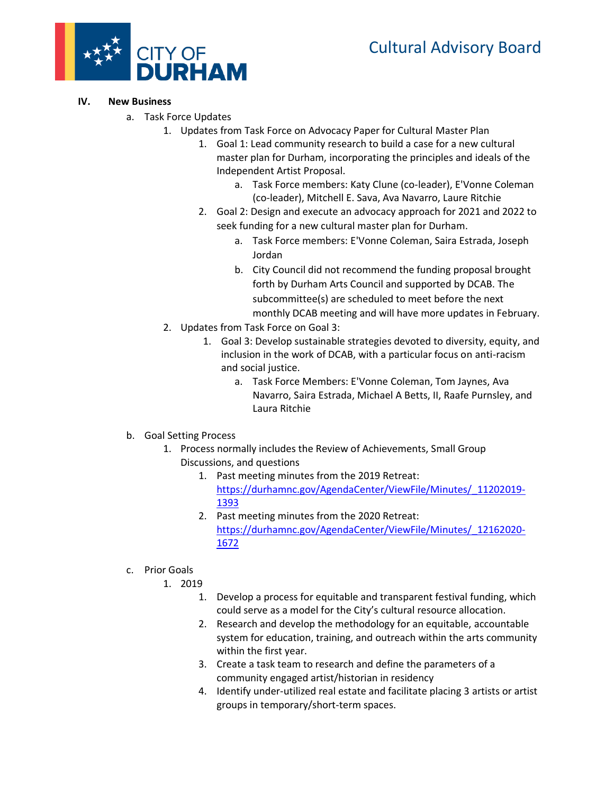

#### **IV. New Business**

- a. Task Force Updates
	- 1. Updates from Task Force on Advocacy Paper for Cultural Master Plan
		- 1. Goal 1: Lead community research to build a case for a new cultural master plan for Durham, incorporating the principles and ideals of the Independent Artist Proposal.
			- a. Task Force members: Katy Clune (co-leader), E'Vonne Coleman (co-leader), Mitchell E. Sava, Ava Navarro, Laure Ritchie
		- 2. Goal 2: Design and execute an advocacy approach for 2021 and 2022 to seek funding for a new cultural master plan for Durham.
			- a. Task Force members: E'Vonne Coleman, Saira Estrada, Joseph Jordan
			- b. City Council did not recommend the funding proposal brought forth by Durham Arts Council and supported by DCAB. The subcommittee(s) are scheduled to meet before the next monthly DCAB meeting and will have more updates in February.
		- 2. Updates from Task Force on Goal 3:
			- 1. Goal 3: Develop sustainable strategies devoted to diversity, equity, and inclusion in the work of DCAB, with a particular focus on anti-racism and social justice.
				- a. Task Force Members: E'Vonne Coleman, Tom Jaynes, Ava Navarro, Saira Estrada, Michael A Betts, II, Raafe Purnsley, and Laura Ritchie
- b. Goal Setting Process
	- 1. Process normally includes the Review of Achievements, Small Group Discussions, and questions
		- 1. Past meeting minutes from the 2019 Retreat: [https://durhamnc.gov/AgendaCenter/ViewFile/Minutes/\\_11202019-](https://durhamnc.gov/AgendaCenter/ViewFile/Minutes/_11202019-1393) [1393](https://durhamnc.gov/AgendaCenter/ViewFile/Minutes/_11202019-1393)
		- 2. Past meeting minutes from the 2020 Retreat: [https://durhamnc.gov/AgendaCenter/ViewFile/Minutes/\\_12162020-](https://durhamnc.gov/AgendaCenter/ViewFile/Minutes/_12162020-1672) [1672](https://durhamnc.gov/AgendaCenter/ViewFile/Minutes/_12162020-1672)
- c. Prior Goals

1. 2019

- 1. Develop a process for equitable and transparent festival funding, which could serve as a model for the City's cultural resource allocation.
- 2. Research and develop the methodology for an equitable, accountable system for education, training, and outreach within the arts community within the first year.
- 3. Create a task team to research and define the parameters of a community engaged artist/historian in residency
- 4. Identify under-utilized real estate and facilitate placing 3 artists or artist groups in temporary/short-term spaces.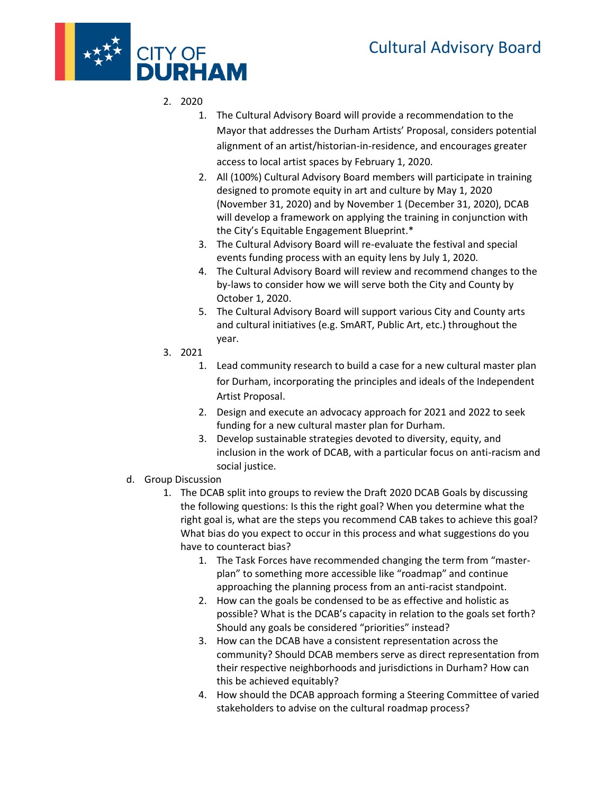# Cultural Advisory Board



- 2. 2020
	- 1. The Cultural Advisory Board will provide a recommendation to the Mayor that addresses the Durham Artists' Proposal, considers potential alignment of an artist/historian-in-residence, and encourages greater access to local artist spaces by February 1, 2020.
	- 2. All (100%) Cultural Advisory Board members will participate in training designed to promote equity in art and culture by May 1, 2020 (November 31, 2020) and by November 1 (December 31, 2020), DCAB will develop a framework on applying the training in conjunction with the City's Equitable Engagement Blueprint.\*
	- 3. The Cultural Advisory Board will re-evaluate the festival and special events funding process with an equity lens by July 1, 2020.
	- 4. The Cultural Advisory Board will review and recommend changes to the by-laws to consider how we will serve both the City and County by October 1, 2020.
	- 5. The Cultural Advisory Board will support various City and County arts and cultural initiatives (e.g. SmART, Public Art, etc.) throughout the year.
- 3. 2021
	- 1. Lead community research to build a case for a new cultural master plan for Durham, incorporating the principles and ideals of the Independent Artist Proposal.
	- 2. Design and execute an advocacy approach for 2021 and 2022 to seek funding for a new cultural master plan for Durham.
	- 3. Develop sustainable strategies devoted to diversity, equity, and inclusion in the work of DCAB, with a particular focus on anti-racism and social justice.
- d. Group Discussion
	- 1. The DCAB split into groups to review the Draft 2020 DCAB Goals by discussing the following questions: Is this the right goal? When you determine what the right goal is, what are the steps you recommend CAB takes to achieve this goal? What bias do you expect to occur in this process and what suggestions do you have to counteract bias?
		- 1. The Task Forces have recommended changing the term from "masterplan" to something more accessible like "roadmap" and continue approaching the planning process from an anti-racist standpoint.
		- 2. How can the goals be condensed to be as effective and holistic as possible? What is the DCAB's capacity in relation to the goals set forth? Should any goals be considered "priorities" instead?
		- 3. How can the DCAB have a consistent representation across the community? Should DCAB members serve as direct representation from their respective neighborhoods and jurisdictions in Durham? How can this be achieved equitably?
		- 4. How should the DCAB approach forming a Steering Committee of varied stakeholders to advise on the cultural roadmap process?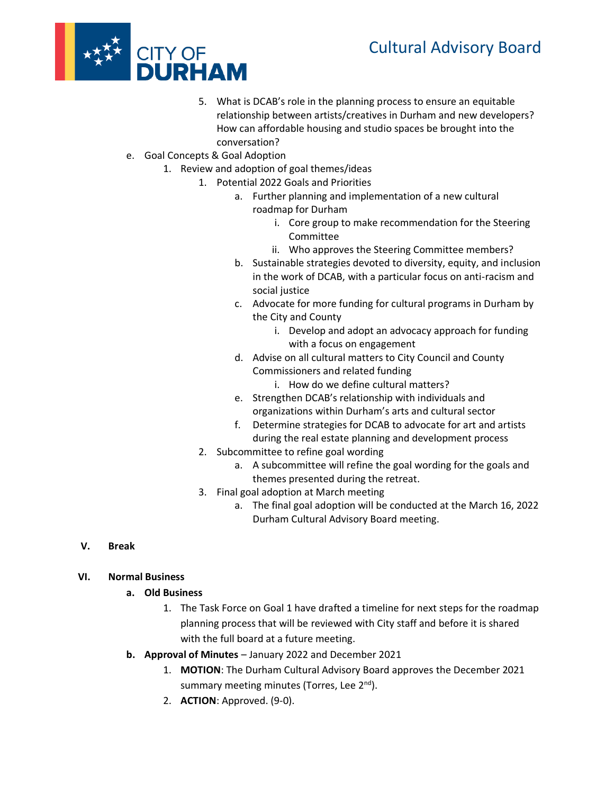# Cultural Advisory Board



- 5. What is DCAB's role in the planning process to ensure an equitable relationship between artists/creatives in Durham and new developers? How can affordable housing and studio spaces be brought into the conversation?
- e. Goal Concepts & Goal Adoption
	- 1. Review and adoption of goal themes/ideas
		- 1. Potential 2022 Goals and Priorities
			- a. Further planning and implementation of a new cultural roadmap for Durham
				- i. Core group to make recommendation for the Steering Committee
				- ii. Who approves the Steering Committee members?
			- b. Sustainable strategies devoted to diversity, equity, and inclusion in the work of DCAB, with a particular focus on anti-racism and social justice
			- c. Advocate for more funding for cultural programs in Durham by the City and County
				- i. Develop and adopt an advocacy approach for funding with a focus on engagement
			- d. Advise on all cultural matters to City Council and County Commissioners and related funding
				- i. How do we define cultural matters?
			- e. Strengthen DCAB's relationship with individuals and organizations within Durham's arts and cultural sector
			- f. Determine strategies for DCAB to advocate for art and artists during the real estate planning and development process
			- 2. Subcommittee to refine goal wording
				- a. A subcommittee will refine the goal wording for the goals and themes presented during the retreat.
			- 3. Final goal adoption at March meeting
				- a. The final goal adoption will be conducted at the March 16, 2022 Durham Cultural Advisory Board meeting.

**V. Break** 

#### **VI. Normal Business**

- **a. Old Business**
	- 1. The Task Force on Goal 1 have drafted a timeline for next steps for the roadmap planning process that will be reviewed with City staff and before it is shared with the full board at a future meeting.
- **b. Approval of Minutes**  January 2022 and December 2021
	- 1. **MOTION**: The Durham Cultural Advisory Board approves the December 2021 summary meeting minutes (Torres, Lee 2<sup>nd</sup>).
	- 2. **ACTION**: Approved. (9-0).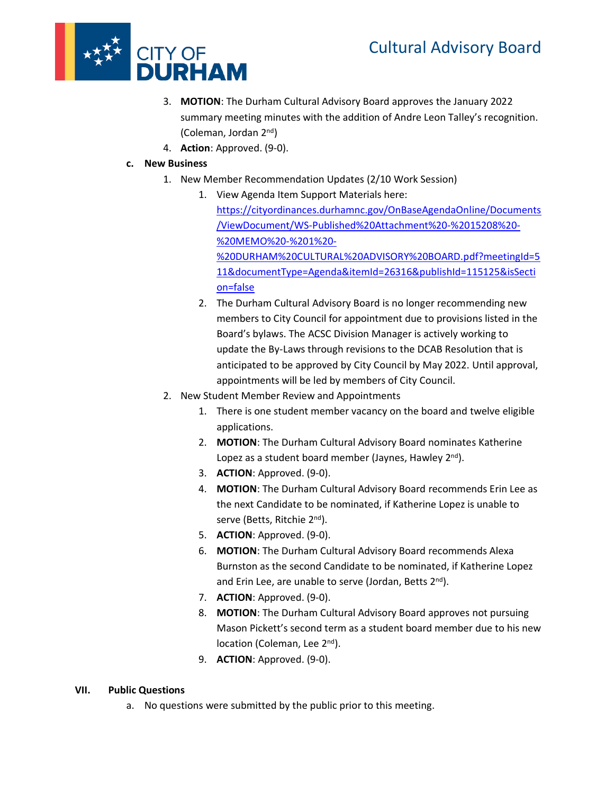

- 3. **MOTION**: The Durham Cultural Advisory Board approves the January 2022 summary meeting minutes with the addition of Andre Leon Talley's recognition. (Coleman, Jordan 2nd)
- 4. **Action**: Approved. (9-0).

## **c. New Business**

- 1. New Member Recommendation Updates (2/10 Work Session)
	- 1. View Agenda Item Support Materials here: [https://cityordinances.durhamnc.gov/OnBaseAgendaOnline/Documents](https://cityordinances.durhamnc.gov/OnBaseAgendaOnline/Documents/ViewDocument/WS-Published%20Attachment%20-%2015208%20-%20MEMO%20-%201%20-%20DURHAM%20CULTURAL%20ADVISORY%20BOARD.pdf?meetingId=511&documentType=Agenda&itemId=26316&publishId=115125&isSection=false) [/ViewDocument/WS-Published%20Attachment%20-%2015208%20-](https://cityordinances.durhamnc.gov/OnBaseAgendaOnline/Documents/ViewDocument/WS-Published%20Attachment%20-%2015208%20-%20MEMO%20-%201%20-%20DURHAM%20CULTURAL%20ADVISORY%20BOARD.pdf?meetingId=511&documentType=Agenda&itemId=26316&publishId=115125&isSection=false) [%20MEMO%20-%201%20-](https://cityordinances.durhamnc.gov/OnBaseAgendaOnline/Documents/ViewDocument/WS-Published%20Attachment%20-%2015208%20-%20MEMO%20-%201%20-%20DURHAM%20CULTURAL%20ADVISORY%20BOARD.pdf?meetingId=511&documentType=Agenda&itemId=26316&publishId=115125&isSection=false) [%20DURHAM%20CULTURAL%20ADVISORY%20BOARD.pdf?meetingId=5](https://cityordinances.durhamnc.gov/OnBaseAgendaOnline/Documents/ViewDocument/WS-Published%20Attachment%20-%2015208%20-%20MEMO%20-%201%20-%20DURHAM%20CULTURAL%20ADVISORY%20BOARD.pdf?meetingId=511&documentType=Agenda&itemId=26316&publishId=115125&isSection=false) [11&documentType=Agenda&itemId=26316&publishId=115125&isSecti](https://cityordinances.durhamnc.gov/OnBaseAgendaOnline/Documents/ViewDocument/WS-Published%20Attachment%20-%2015208%20-%20MEMO%20-%201%20-%20DURHAM%20CULTURAL%20ADVISORY%20BOARD.pdf?meetingId=511&documentType=Agenda&itemId=26316&publishId=115125&isSection=false) [on=false](https://cityordinances.durhamnc.gov/OnBaseAgendaOnline/Documents/ViewDocument/WS-Published%20Attachment%20-%2015208%20-%20MEMO%20-%201%20-%20DURHAM%20CULTURAL%20ADVISORY%20BOARD.pdf?meetingId=511&documentType=Agenda&itemId=26316&publishId=115125&isSection=false)
	- 2. The Durham Cultural Advisory Board is no longer recommending new members to City Council for appointment due to provisions listed in the Board's bylaws. The ACSC Division Manager is actively working to update the By-Laws through revisions to the DCAB Resolution that is anticipated to be approved by City Council by May 2022. Until approval, appointments will be led by members of City Council.
- 2. New Student Member Review and Appointments
	- 1. There is one student member vacancy on the board and twelve eligible applications.
	- 2. **MOTION**: The Durham Cultural Advisory Board nominates Katherine Lopez as a student board member (Jaynes, Hawley 2<sup>nd</sup>).
	- 3. **ACTION**: Approved. (9-0).
	- 4. **MOTION**: The Durham Cultural Advisory Board recommends Erin Lee as the next Candidate to be nominated, if Katherine Lopez is unable to serve (Betts, Ritchie 2<sup>nd</sup>).
	- 5. **ACTION**: Approved. (9-0).
	- 6. **MOTION**: The Durham Cultural Advisory Board recommends Alexa Burnston as the second Candidate to be nominated, if Katherine Lopez and Erin Lee, are unable to serve (Jordan, Betts 2<sup>nd</sup>).
	- 7. **ACTION**: Approved. (9-0).
	- 8. **MOTION**: The Durham Cultural Advisory Board approves not pursuing Mason Pickett's second term as a student board member due to his new location (Coleman, Lee 2<sup>nd</sup>).
	- 9. **ACTION**: Approved. (9-0).

## **VII. Public Questions**

a. No questions were submitted by the public prior to this meeting.